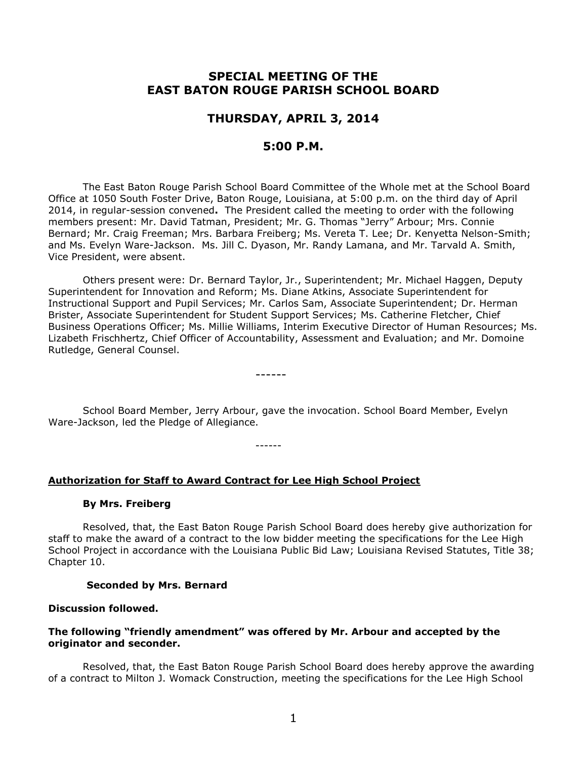# **SPECIAL MEETING OF THE EAST BATON ROUGE PARISH SCHOOL BOARD**

# **THURSDAY, APRIL 3, 2014**

# **5:00 P.M.**

The East Baton Rouge Parish School Board Committee of the Whole met at the School Board Office at 1050 South Foster Drive, Baton Rouge, Louisiana, at 5:00 p.m. on the third day of April 2014, in regular-session convened**.** The President called the meeting to order with the following members present: Mr. David Tatman, President; Mr. G. Thomas "Jerry" Arbour; Mrs. Connie Bernard; Mr. Craig Freeman; Mrs. Barbara Freiberg; Ms. Vereta T. Lee; Dr. Kenyetta Nelson-Smith; and Ms. Evelyn Ware-Jackson. Ms. Jill C. Dyason, Mr. Randy Lamana, and Mr. Tarvald A. Smith, Vice President, were absent.

Others present were: Dr. Bernard Taylor, Jr., Superintendent; Mr. Michael Haggen, Deputy Superintendent for Innovation and Reform; Ms. Diane Atkins, Associate Superintendent for Instructional Support and Pupil Services; Mr. Carlos Sam, Associate Superintendent; Dr. Herman Brister, Associate Superintendent for Student Support Services; Ms. Catherine Fletcher, Chief Business Operations Officer; Ms. Millie Williams, Interim Executive Director of Human Resources; Ms. Lizabeth Frischhertz, Chief Officer of Accountability, Assessment and Evaluation; and Mr. Domoine Rutledge, General Counsel.

School Board Member, Jerry Arbour, gave the invocation. School Board Member, Evelyn Ware-Jackson, led the Pledge of Allegiance.

------

------

#### **Authorization for Staff to Award Contract for Lee High School Project**

#### **By Mrs. Freiberg**

Resolved, that, the East Baton Rouge Parish School Board does hereby give authorization for staff to make the award of a contract to the low bidder meeting the specifications for the Lee High School Project in accordance with the Louisiana Public Bid Law; Louisiana Revised Statutes, Title 38; Chapter 10.

#### **Seconded by Mrs. Bernard**

#### **Discussion followed.**

#### **The following "friendly amendment" was offered by Mr. Arbour and accepted by the originator and seconder.**

Resolved, that, the East Baton Rouge Parish School Board does hereby approve the awarding of a contract to Milton J. Womack Construction, meeting the specifications for the Lee High School